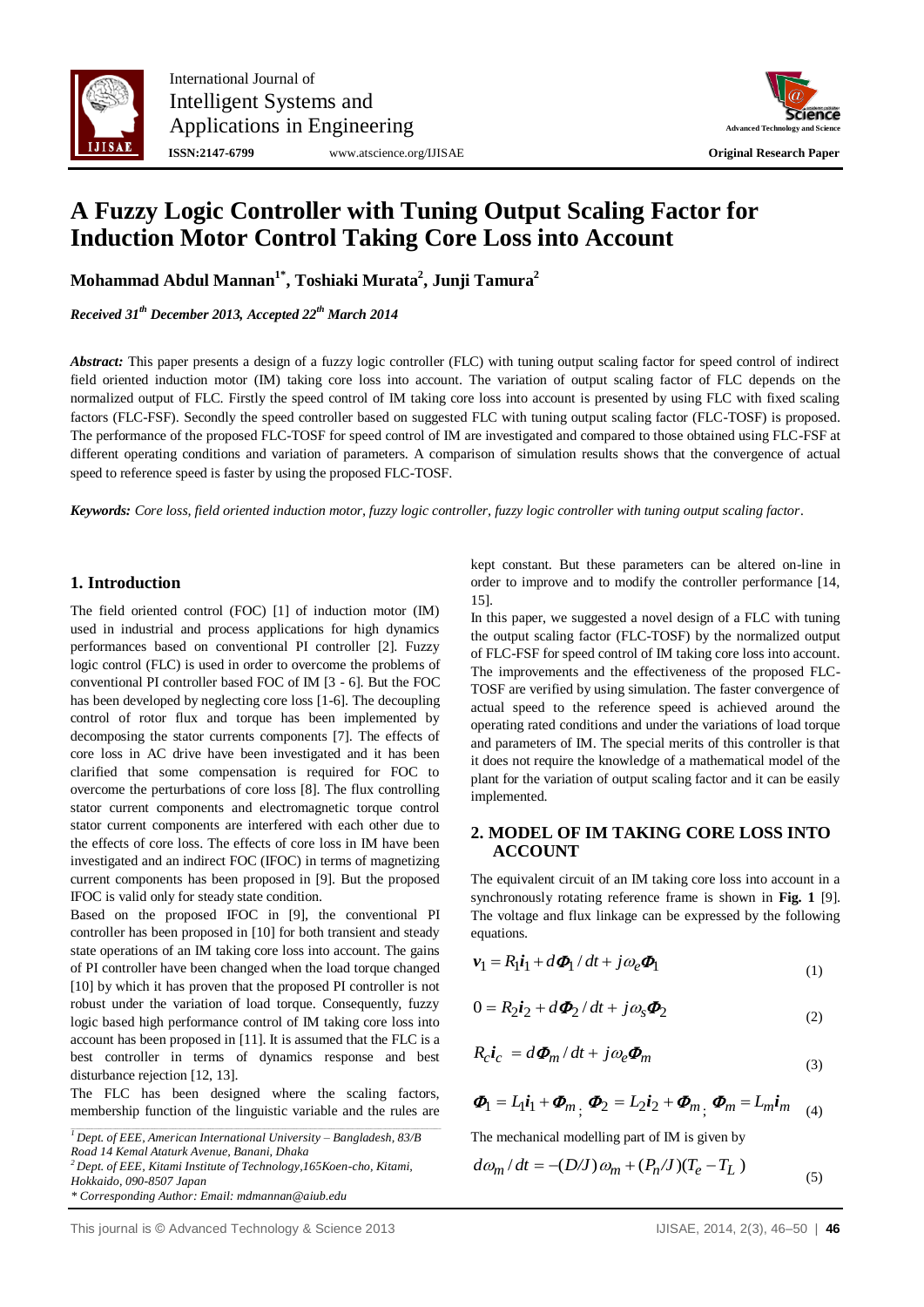



# **A Fuzzy Logic Controller with Tuning Output Scaling Factor for Induction Motor Control Taking Core Loss into Account**

**Mohammad Abdul Mannan1\*, Toshiaki Murata<sup>2</sup> , Junji Tamura<sup>2</sup>**

*Received 31th December 2013, Accepted 22 th March 2014*

*Abstract:* This paper presents a design of a fuzzy logic controller (FLC) with tuning output scaling factor for speed control of indirect field oriented induction motor (IM) taking core loss into account. The variation of output scaling factor of FLC depends on the normalized output of FLC. Firstly the speed control of IM taking core loss into account is presented by using FLC with fixed scaling factors (FLC-FSF). Secondly the speed controller based on suggested FLC with tuning output scaling factor (FLC-TOSF) is proposed. The performance of the proposed FLC-TOSF for speed control of IM are investigated and compared to those obtained using FLC-FSF at different operating conditions and variation of parameters. A comparison of simulation results shows that the convergence of actual speed to reference speed is faster by using the proposed FLC-TOSF.

*Keywords: Core loss, field oriented induction motor, fuzzy logic controller, fuzzy logic controller with tuning output scaling factor.*

### **1. Introduction**

The field oriented control (FOC) [1] of induction motor (IM) used in industrial and process applications for high dynamics performances based on conventional PI controller [2]. Fuzzy logic control (FLC) is used in order to overcome the problems of conventional PI controller based FOC of IM [3 - 6]. But the FOC has been developed by neglecting core loss [1-6]. The decoupling control of rotor flux and torque has been implemented by decomposing the stator currents components [7]. The effects of core loss in AC drive have been investigated and it has been clarified that some compensation is required for FOC to overcome the perturbations of core loss [8]. The flux controlling stator current components and electromagnetic torque control stator current components are interfered with each other due to the effects of core loss. The effects of core loss in IM have been investigated and an indirect FOC (IFOC) in terms of magnetizing current components has been proposed in [9]. But the proposed IFOC is valid only for steady state condition.

Based on the proposed IFOC in [9], the conventional PI controller has been proposed in [10] for both transient and steady state operations of an IM taking core loss into account. The gains of PI controller have been changed when the load torque changed [10] by which it has proven that the proposed PI controller is not robust under the variation of load torque. Consequently, fuzzy logic based high performance control of IM taking core loss into account has been proposed in [11]. It is assumed that the FLC is a best controller in terms of dynamics response and best disturbance rejection [12, 13].

The FLC has been designed where the scaling factors, membership function of the linguistic variable and the rules are

 $\overline{P}$  Dept. of EEE, American International University – Bangladesh, 83/B *Road 14 Kemal Ataturk Avenue, Banani, Dhaka*

*<sup>2</sup>Dept. of EEE, Kitami Institute of Technology,165Koen-cho, Kitami, Hokkaido, 090-8507 Japan*

*\* Corresponding Author: Email: mdmannan@aiub.edu*

kept constant. But these parameters can be altered on-line in order to improve and to modify the controller performance [14, 15].

In this paper, we suggested a novel design of a FLC with tuning the output scaling factor (FLC-TOSF) by the normalized output of FLC-FSF for speed control of IM taking core loss into account. The improvements and the effectiveness of the proposed FLC-TOSF are verified by using simulation. The faster convergence of actual speed to the reference speed is achieved around the operating rated conditions and under the variations of load torque and parameters of IM. The special merits of this controller is that it does not require the knowledge of a mathematical model of the plant for the variation of output scaling factor and it can be easily implemented.

## **2. MODEL OF IM TAKING CORE LOSS INTO ACCOUNT**

The equivalent circuit of an IM taking core loss into account in a synchronously rotating reference frame is shown in **Fig. 1** [9]. The voltage and flux linkage can be expressed by the following equations.

$$
\boldsymbol{v}_1 = R_1 \boldsymbol{i}_1 + d\boldsymbol{\Phi}_1 / dt + j\omega_e \boldsymbol{\Phi}_1 \tag{1}
$$

$$
0 = R_2 i_2 + d\mathbf{\Phi}_2 / dt + j\omega_s \mathbf{\Phi}_2 \tag{2}
$$

$$
R_c \boldsymbol{i}_c = d\boldsymbol{\Phi}_m / dt + j\omega_e \boldsymbol{\Phi}_m
$$
\n(3)

$$
\boldsymbol{\Phi}_{1}=L_{1}i_{1}+\boldsymbol{\Phi}_{m},\ \boldsymbol{\Phi}_{2}=L_{2}i_{2}+\boldsymbol{\Phi}_{m},\ \boldsymbol{\Phi}_{m}=L_{m}i_{m}\quad \textbf{(4)}
$$

The mechanical modelling part of IM is given by

$$
d\omega_m/dt = -(D/J)\omega_m + (P_n/J)(T_e - T_L)
$$
\n(5)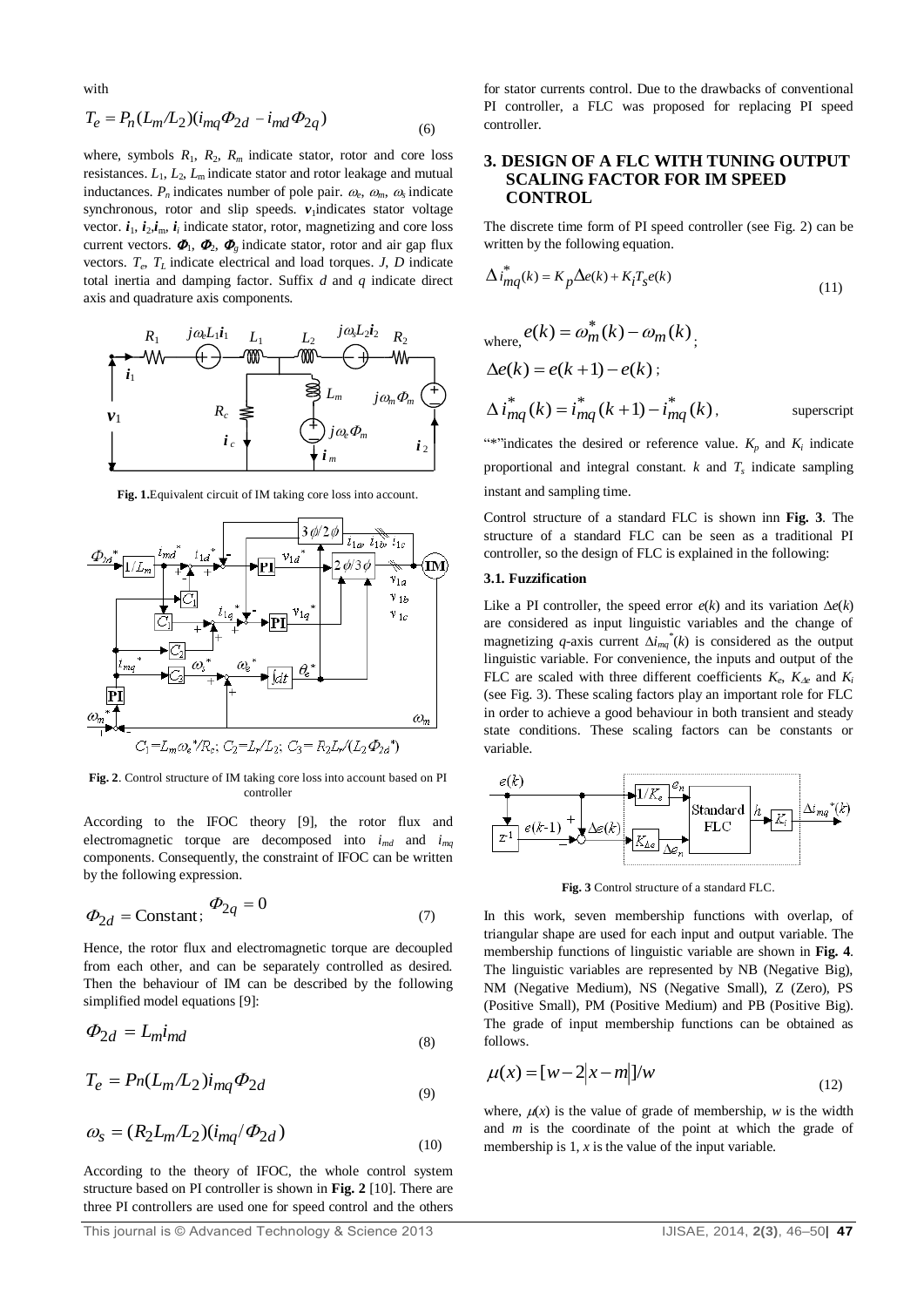with

$$
T_e = P_n (L_m / L_2) (i_{mq} \Phi_{2d} - i_{md} \Phi_{2q})
$$
\n(6)

where, symbols  $R_1$ ,  $R_2$ ,  $R_m$  indicate stator, rotor and core loss resistances.  $L_1$ ,  $L_2$ ,  $L_m$  indicate stator and rotor leakage and mutual inductances.  $P_n$  indicates number of pole pair.  $\omega_e$ ,  $\omega_m$ ,  $\omega_s$  indicate synchronous, rotor and slip speeds.  $v_1$ indicates stator voltage vector.  $i_1$ ,  $i_2$ , $i_m$ ,  $i_i$  indicate stator, rotor, magnetizing and core loss current vectors.  $\boldsymbol{\Phi}_1$ ,  $\boldsymbol{\Phi}_2$ ,  $\boldsymbol{\Phi}_g$  indicate stator, rotor and air gap flux vectors. *T<sup>e</sup>* , *T<sup>L</sup>* indicate electrical and load torques. *J*, *D* indicate total inertia and damping factor. Suffix *d* and *q* indicate direct axis and quadrature axis components.



**Fig. 1.**Equivalent circuit of IM taking core loss into account.



**Fig. 2**. Control structure of IM taking core loss into account based on PI controller

According to the IFOC theory [9], the rotor flux and electromagnetic torque are decomposed into  $i_{md}$  and  $i_{md}$ components. Consequently, the constraint of IFOC can be written by the following expression.

$$
\Phi_{2d} = \text{Constant}; \quad \Phi_{2q} = 0 \tag{7}
$$

Hence, the rotor flux and electromagnetic torque are decoupled from each other, and can be separately controlled as desired. Then the behaviour of IM can be described by the following simplified model equations [9]:

$$
\Phi_{2d} = L_{m} i_{md} \tag{8}
$$

$$
T_e = P_n(L_m/L_2)i_{mq}\Phi_{2d}
$$
\n<sup>(9)</sup>

$$
\omega_s = (R_2 L_m / L_2)(i_{mq}/\Phi_{2d})
$$
\n<sup>(10)</sup>

According to the theory of IFOC, the whole control system structure based on PI controller is shown in **Fig. 2** [10]. There are three PI controllers are used one for speed control and the others

for stator currents control. Due to the drawbacks of conventional PI controller, a FLC was proposed for replacing PI speed controller.

### **3. DESIGN OF A FLC WITH TUNING OUTPUT SCALING FACTOR FOR IM SPEED CONTROL**

The discrete time form of PI speed controller (see Fig. 2) can be written by the following equation.

$$
\Delta i_{mq}^*(k) = K_p \Delta e(k) + K_i T_s e(k)
$$
\n(11)

where, 
$$
e(k) = \omega_m^*(k) - \omega_m(k)
$$
,  
\n $\Delta e(k) = e(k+1) - e(k)$ ;  
\n $\Delta i_{mq}^*(k) = i_{mq}^*(k+1) - i_{mq}^*(k)$ , superscript

"\*"indicates the desired or reference value.  $K_p$  and  $K_i$  indicate proportional and integral constant.  $k$  and  $T<sub>s</sub>$  indicate sampling instant and sampling time.

Control structure of a standard FLC is shown inn **Fig. 3**. The structure of a standard FLC can be seen as a traditional PI controller, so the design of FLC is explained in the following:

### **3.1. Fuzzification**

Like a PI controller, the speed error  $e(k)$  and its variation  $\Delta e(k)$ are considered as input linguistic variables and the change of magnetizing *q*-axis current  $\Delta i_{mq}^*(k)$  is considered as the output linguistic variable. For convenience, the inputs and output of the FLC are scaled with three different coefficients  $K_e$ ,  $K_{\Delta e}$  and  $K_i$ (see Fig. 3). These scaling factors play an important role for FLC in order to achieve a good behaviour in both transient and steady state conditions. These scaling factors can be constants or variable.



**Fig. 3** Control structure of a standard FLC.

In this work, seven membership functions with overlap, of triangular shape are used for each input and output variable. The membership functions of linguistic variable are shown in **Fig. 4**. The linguistic variables are represented by NB (Negative Big), NM (Negative Medium), NS (Negative Small), Z (Zero), PS (Positive Small), PM (Positive Medium) and PB (Positive Big). The grade of input membership functions can be obtained as follows.

$$
\mu(x) = [w - 2|x - m|]/w
$$
 (12)

where,  $\mu(x)$  is the value of grade of membership, *w* is the width and *m* is the coordinate of the point at which the grade of membership is 1, *x* is the value of the input variable.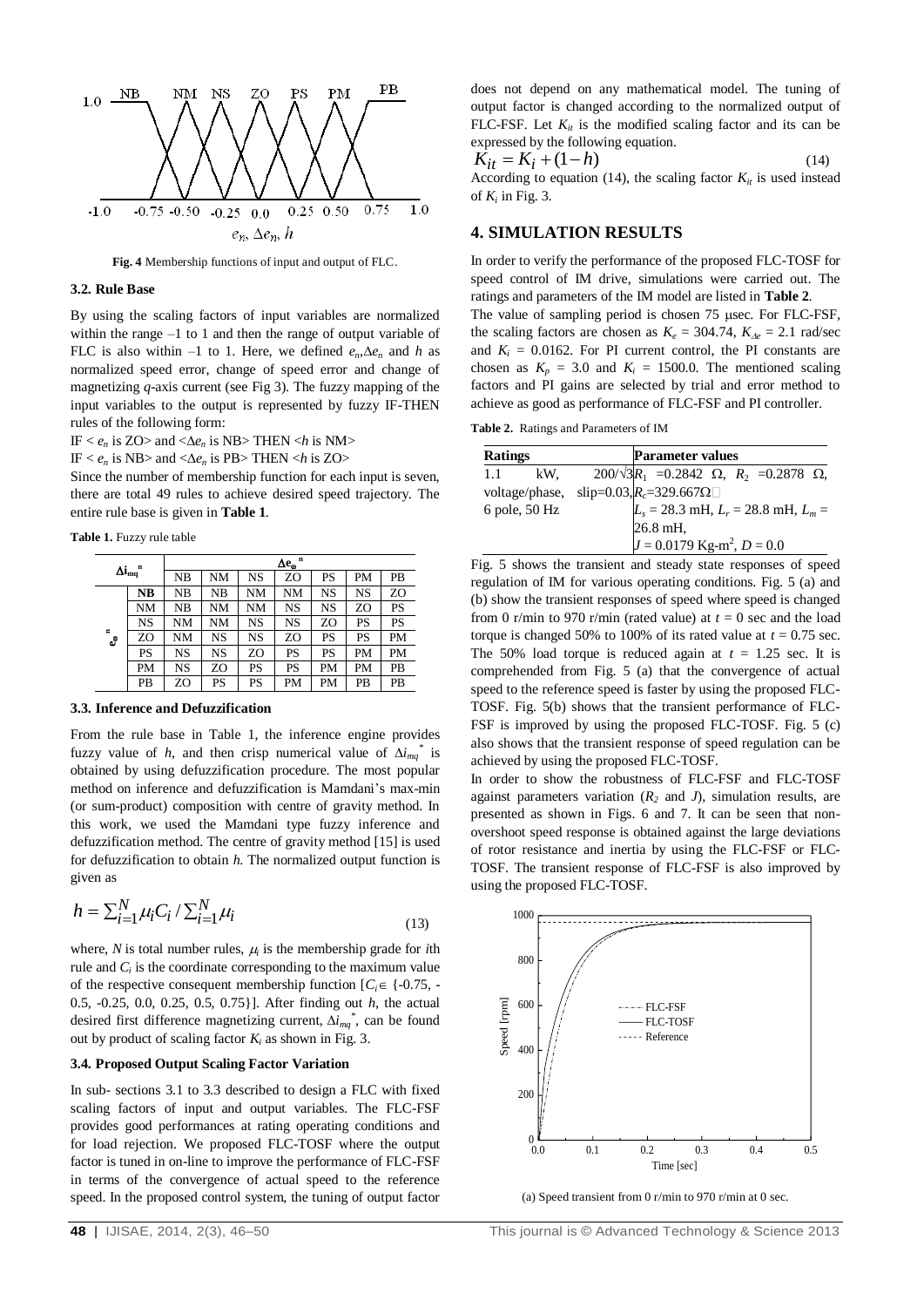

**Fig. 4** Membership functions of input and output of FLC.

### **3.2. Rule Base**

By using the scaling factors of input variables are normalized within the range –1 to 1 and then the range of output variable of FLC is also within  $-1$  to 1. Here, we defined  $e_n \Delta e_n$  and h as normalized speed error, change of speed error and change of magnetizing *q*-axis current (see Fig 3). The fuzzy mapping of the input variables to the output is represented by fuzzy IF-THEN rules of the following form:

IF  $< e_n$  is ZO> and  $<\Delta e_n$  is NB> THEN  $< h$  is NM>

IF  $\lt e_n$  is NB $>$  and  $\lt \Delta e_n$  is PB $>$  THEN  $\lt h$  is ZO $>$ 

Since the number of membership function for each input is seven, there are total 49 rules to achieve desired speed trajectory. The entire rule base is given in **Table 1**.

**Table 1.** Fuzzy rule table

| $\Delta i_{mq}^{\quad n}$     |    | $\Delta e_{\omega}$ <sup>n</sup> |    |    |    |    |    |    |
|-------------------------------|----|----------------------------------|----|----|----|----|----|----|
|                               |    | $_{\rm NB}$                      | NΜ | NS | ZO | PS | PM | PВ |
| $\blacksquare$<br>$e_{\rm s}$ | NB | NB                               | NΒ | NΜ | NΜ | NS | NS | ZO |
|                               | NΜ | NB                               | NΜ | NΜ | NS | NS | ZO | PS |
|                               | NS | NM                               | NΜ | NS | NS | ZΟ | PS | PS |
|                               | ZO | NM                               | NS | NS | ZΟ | PS | PS | PM |
|                               | PS | NS                               | NS | ZO | PS | PS | PM | PM |
|                               | PM | NS                               | ZΟ | PS | PS | PM | PM | PB |
|                               | PB | ZO                               | PS | PS | PM | PM | PB | PB |

#### **3.3. Inference and Defuzzification**

From the rule base in Table 1, the inference engine provides fuzzy value of *h*, and then crisp numerical value of  $\Delta i_{mq}^*$  is obtained by using defuzzification procedure. The most popular method on inference and defuzzification is Mamdani's max-min (or sum-product) composition with centre of gravity method. In this work, we used the Mamdani type fuzzy inference and defuzzification method. The centre of gravity method [15] is used for defuzzification to obtain *h*. The normalized output function is given as

$$
h = \sum_{i=1}^{N} \mu_i C_i / \sum_{i=1}^{N} \mu_i
$$
\n(13)

where,  $N$  is total number rules,  $\mu_i$  is the membership grade for *i*th rule and  $C_i$  is the coordinate corresponding to the maximum value of the respective consequent membership function  $[C_i \in \{-0.75, -1.0\}]$ 0.5, -0.25, 0.0, 0.25, 0.5, 0.75}]. After finding out *h*, the actual desired first difference magnetizing current,  $\Delta i_{mq}^*$ , can be found out by product of scaling factor  $K_i$  as shown in Fig. 3.

### **3.4. Proposed Output Scaling Factor Variation**

In sub- sections 3.1 to 3.3 described to design a FLC with fixed scaling factors of input and output variables. The FLC-FSF provides good performances at rating operating conditions and for load rejection. We proposed FLC-TOSF where the output factor is tuned in on-line to improve the performance of FLC-FSF in terms of the convergence of actual speed to the reference speed. In the proposed control system, the tuning of output factor

 $\hat{K}_{it} = K_i + (1 - h)$ <sup>14</sup> According to equation (14), the scaling factor  $K_{it}$  is used instead of  $K_i$  in Fig. 3.

### **4. SIMULATION RESULTS**

In order to verify the performance of the proposed FLC-TOSF for speed control of IM drive, simulations were carried out. The ratings and parameters of the IM model are listed in **Table 2**.

The value of sampling period is chosen 75 usec. For FLC-FSF, the scaling factors are chosen as  $K_e = 304.74$ ,  $K_{\text{Ae}} = 2.1$  rad/sec and  $K_i = 0.0162$ . For PI current control, the PI constants are chosen as  $K_p = 3.0$  and  $K_i = 1500.0$ . The mentioned scaling factors and PI gains are selected by trial and error method to achieve as good as performance of FLC-FSF and PI controller.

**Table 2.** Ratings and Parameters of IM

| <b>Ratings</b> |               |                                           | <b>Parameter values</b>                                         |  |  |  |  |  |
|----------------|---------------|-------------------------------------------|-----------------------------------------------------------------|--|--|--|--|--|
| 1.1            | kW.           |                                           | $200/\sqrt{3}R_1$ = 0.2842 $\Omega$ , $R_2$ = 0.2878 $\Omega$ , |  |  |  |  |  |
| voltage/phase, |               |                                           | slip=0.03, $R_c$ =329.667 $\Omega$                              |  |  |  |  |  |
|                | 6 pole, 50 Hz | $L_s = 28.3$ mH, $L_r = 28.8$ mH, $L_m =$ |                                                                 |  |  |  |  |  |
|                |               |                                           | 26.8 mH,                                                        |  |  |  |  |  |
|                |               |                                           | $J = 0.0179$ Kg-m <sup>2</sup> , $D = 0.0$                      |  |  |  |  |  |

Fig. 5 shows the transient and steady state responses of speed regulation of IM for various operating conditions. Fig. 5 (a) and (b) show the transient responses of speed where speed is changed from 0 r/min to 970 r/min (rated value) at  $t = 0$  sec and the load torque is changed 50% to 100% of its rated value at  $t = 0.75$  sec. The 50% load torque is reduced again at  $t = 1.25$  sec. It is comprehended from Fig. 5 (a) that the convergence of actual speed to the reference speed is faster by using the proposed FLC-TOSF. Fig. 5(b) shows that the transient performance of FLC-FSF is improved by using the proposed FLC-TOSF. Fig. 5 (c) also shows that the transient response of speed regulation can be achieved by using the proposed FLC-TOSF.

In order to show the robustness of FLC-FSF and FLC-TOSF against parameters variation  $(R_2 \text{ and } J)$ , simulation results, are presented as shown in Figs. 6 and 7. It can be seen that nonovershoot speed response is obtained against the large deviations of rotor resistance and inertia by using the FLC-FSF or FLC-TOSF. The transient response of FLC-FSF is also improved by using the proposed FLC-TOSF.



(a) Speed transient from 0 r/min to 970 r/min at 0 sec.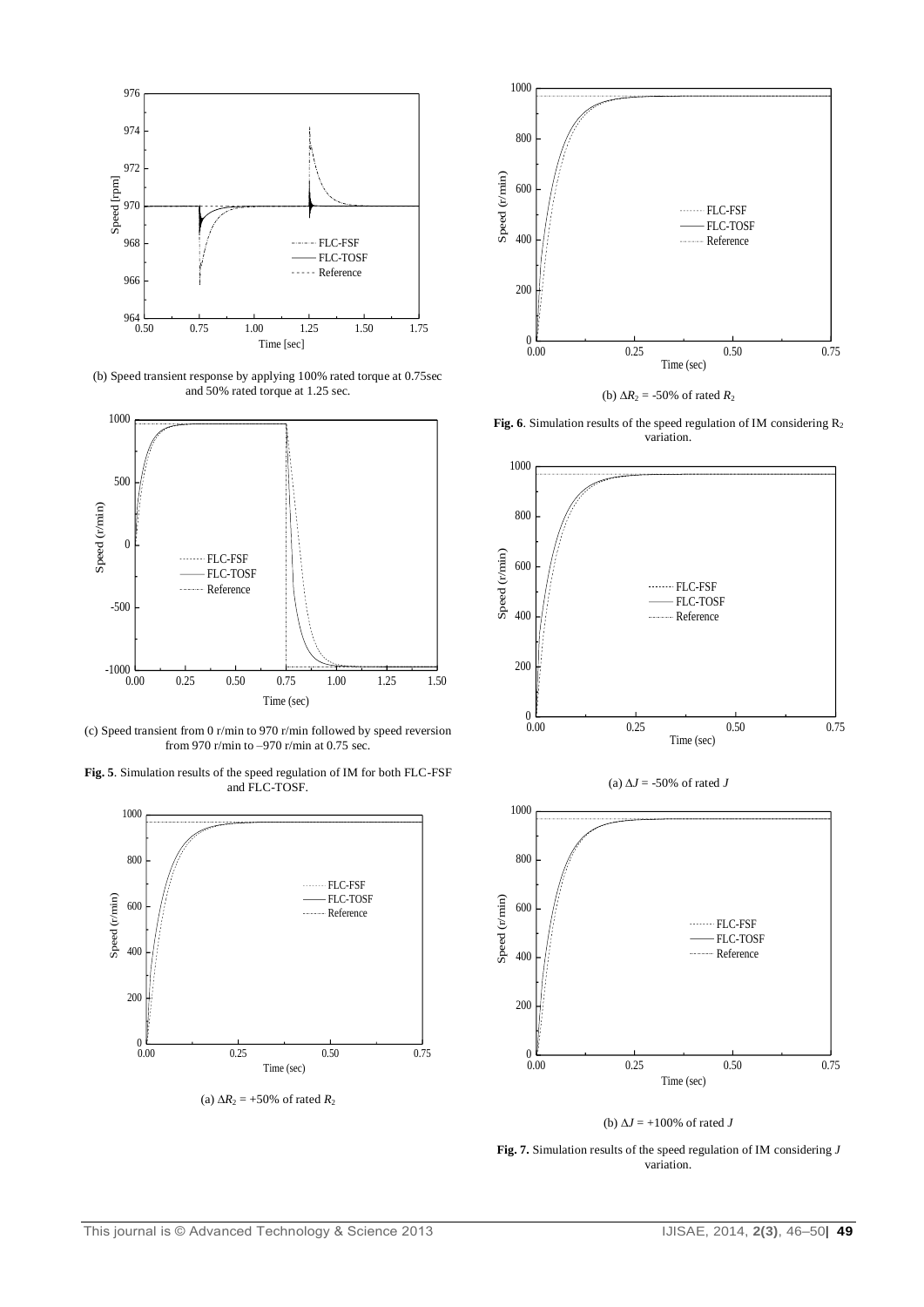

(b) Speed transient response by applying 100% rated torque at 0.75sec and 50% rated torque at 1.25 sec.



(c) Speed transient from 0 r/min to 970 r/min followed by speed reversion from 970 r/min to –970 r/min at 0.75 sec.

**Fig. 5**. Simulation results of the speed regulation of IM for both FLC-FSF and FLC-TOSF.



(a)  $\Delta R_2$  = +50% of rated  $R_2$ 



(b)  $\Delta R_2 = -50\%$  of rated  $R_2$ 

Fig. 6. Simulation results of the speed regulation of IM considering R<sub>2</sub> variation.



(a)  $\Delta J = -50\%$  of rated *J* 



(b)  $\Delta J = +100\%$  of rated *J* 

**Fig. 7.** Simulation results of the speed regulation of IM considering *J* variation.